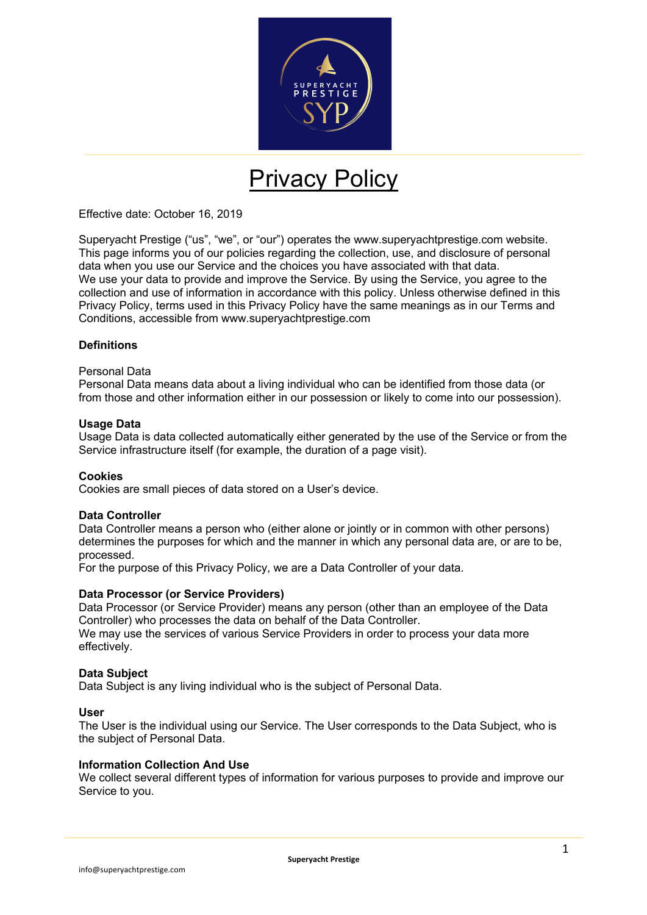

# Privacy Policy

Effective date: October 16, 2019

Superyacht Prestige ("us", "we", or "our") operates the www.superyachtprestige.com website. This page informs you of our policies regarding the collection, use, and disclosure of personal data when you use our Service and the choices you have associated with that data. We use your data to provide and improve the Service. By using the Service, you agree to the collection and use of information in accordance with this policy. Unless otherwise defined in this Privacy Policy, terms used in this Privacy Policy have the same meanings as in our Terms and Conditions, accessible from www.superyachtprestige.com

#### **Definitions**

#### Personal Data

Personal Data means data about a living individual who can be identified from those data (or from those and other information either in our possession or likely to come into our possession).

#### **Usage Data**

Usage Data is data collected automatically either generated by the use of the Service or from the Service infrastructure itself (for example, the duration of a page visit).

#### **Cookies**

Cookies are small pieces of data stored on a User's device.

#### **Data Controller**

Data Controller means a person who (either alone or jointly or in common with other persons) determines the purposes for which and the manner in which any personal data are, or are to be, processed.

For the purpose of this Privacy Policy, we are a Data Controller of your data.

#### **Data Processor (or Service Providers)**

Data Processor (or Service Provider) means any person (other than an employee of the Data Controller) who processes the data on behalf of the Data Controller.

We may use the services of various Service Providers in order to process your data more effectively.

#### **Data Subject**

Data Subject is any living individual who is the subject of Personal Data.

#### **User**

The User is the individual using our Service. The User corresponds to the Data Subject, who is the subject of Personal Data.

#### **Information Collection And Use**

We collect several different types of information for various purposes to provide and improve our Service to you.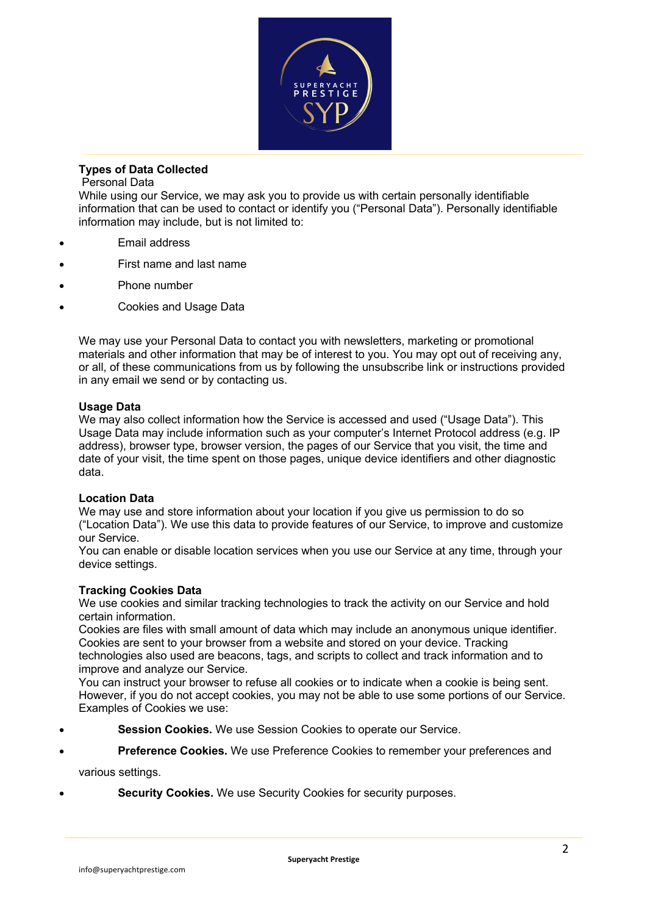

## **Types of Data Collected**

## Personal Data

While using our Service, we may ask you to provide us with certain personally identifiable information that can be used to contact or identify you ("Personal Data"). Personally identifiable information may include, but is not limited to:

- Email address
- First name and last name
- Phone number
- Cookies and Usage Data

We may use your Personal Data to contact you with newsletters, marketing or promotional materials and other information that may be of interest to you. You may opt out of receiving any, or all, of these communications from us by following the unsubscribe link or instructions provided in any email we send or by contacting us.

## **Usage Data**

We may also collect information how the Service is accessed and used ("Usage Data"). This Usage Data may include information such as your computer's Internet Protocol address (e.g. IP address), browser type, browser version, the pages of our Service that you visit, the time and date of your visit, the time spent on those pages, unique device identifiers and other diagnostic data.

## **Location Data**

We may use and store information about your location if you give us permission to do so ("Location Data"). We use this data to provide features of our Service, to improve and customize our Service.

You can enable or disable location services when you use our Service at any time, through your device settings.

## **Tracking Cookies Data**

We use cookies and similar tracking technologies to track the activity on our Service and hold certain information.

Cookies are files with small amount of data which may include an anonymous unique identifier. Cookies are sent to your browser from a website and stored on your device. Tracking technologies also used are beacons, tags, and scripts to collect and track information and to improve and analyze our Service.

You can instruct your browser to refuse all cookies or to indicate when a cookie is being sent. However, if you do not accept cookies, you may not be able to use some portions of our Service. Examples of Cookies we use:

- **Session Cookies.** We use Session Cookies to operate our Service.
- **Preference Cookies.** We use Preference Cookies to remember your preferences and

various settings.

• **Security Cookies.** We use Security Cookies for security purposes.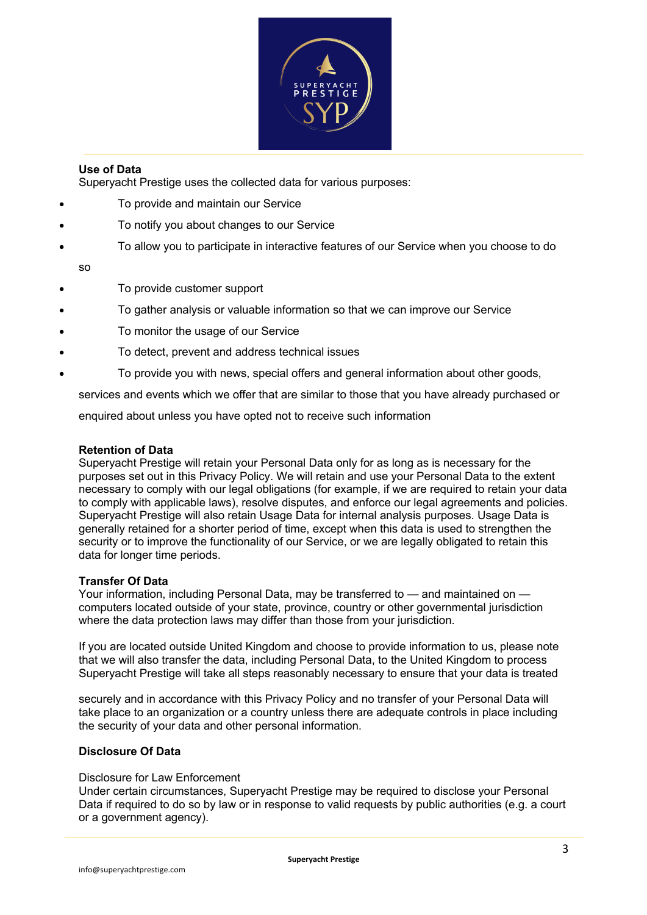

## **Use of Data**

Superyacht Prestige uses the collected data for various purposes:

- To provide and maintain our Service
- To notify you about changes to our Service
- To allow you to participate in interactive features of our Service when you choose to do

so

- To provide customer support
- To gather analysis or valuable information so that we can improve our Service
- To monitor the usage of our Service
- To detect, prevent and address technical issues
- To provide you with news, special offers and general information about other goods,

services and events which we offer that are similar to those that you have already purchased or

enquired about unless you have opted not to receive such information

## **Retention of Data**

Superyacht Prestige will retain your Personal Data only for as long as is necessary for the purposes set out in this Privacy Policy. We will retain and use your Personal Data to the extent necessary to comply with our legal obligations (for example, if we are required to retain your data to comply with applicable laws), resolve disputes, and enforce our legal agreements and policies. Superyacht Prestige will also retain Usage Data for internal analysis purposes. Usage Data is generally retained for a shorter period of time, except when this data is used to strengthen the security or to improve the functionality of our Service, or we are legally obligated to retain this data for longer time periods.

## **Transfer Of Data**

Your information, including Personal Data, may be transferred to — and maintained on computers located outside of your state, province, country or other governmental jurisdiction where the data protection laws may differ than those from your jurisdiction.

If you are located outside United Kingdom and choose to provide information to us, please note that we will also transfer the data, including Personal Data, to the United Kingdom to process Superyacht Prestige will take all steps reasonably necessary to ensure that your data is treated

securely and in accordance with this Privacy Policy and no transfer of your Personal Data will take place to an organization or a country unless there are adequate controls in place including the security of your data and other personal information.

## **Disclosure Of Data**

#### Disclosure for Law Enforcement

Under certain circumstances, Superyacht Prestige may be required to disclose your Personal Data if required to do so by law or in response to valid requests by public authorities (e.g. a court or a government agency).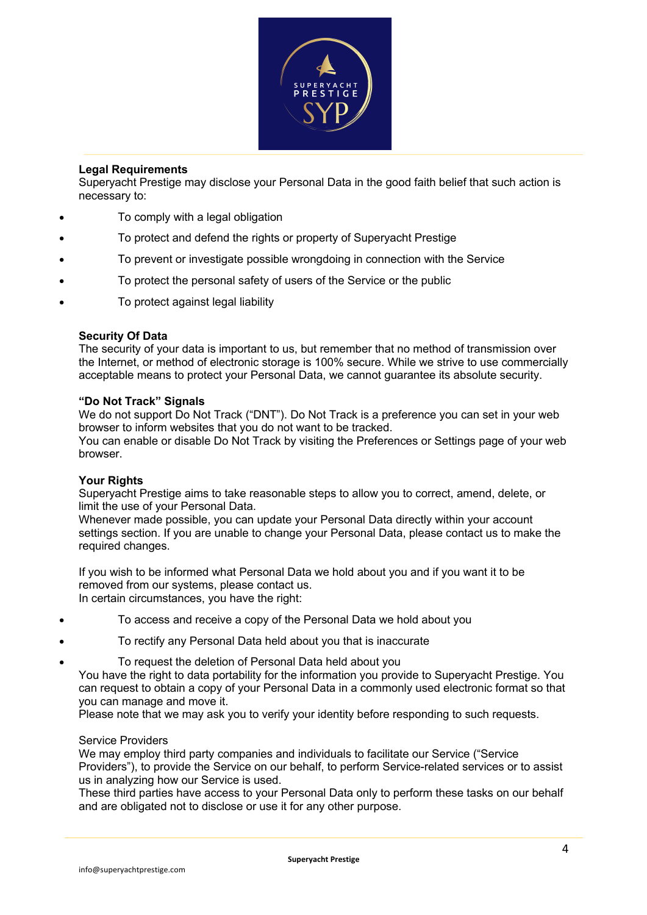

## **Legal Requirements**

Superyacht Prestige may disclose your Personal Data in the good faith belief that such action is necessary to:

- To comply with a legal obligation
- To protect and defend the rights or property of Superyacht Prestige
- To prevent or investigate possible wrongdoing in connection with the Service
- To protect the personal safety of users of the Service or the public
- To protect against legal liability

## **Security Of Data**

The security of your data is important to us, but remember that no method of transmission over the Internet, or method of electronic storage is 100% secure. While we strive to use commercially acceptable means to protect your Personal Data, we cannot guarantee its absolute security.

## **"Do Not Track" Signals**

We do not support Do Not Track ("DNT"). Do Not Track is a preference you can set in your web browser to inform websites that you do not want to be tracked.

You can enable or disable Do Not Track by visiting the Preferences or Settings page of your web browser.

## **Your Rights**

Superyacht Prestige aims to take reasonable steps to allow you to correct, amend, delete, or limit the use of your Personal Data.

Whenever made possible, you can update your Personal Data directly within your account settings section. If you are unable to change your Personal Data, please contact us to make the required changes.

If you wish to be informed what Personal Data we hold about you and if you want it to be removed from our systems, please contact us. In certain circumstances, you have the right:

- To access and receive a copy of the Personal Data we hold about you
- To rectify any Personal Data held about you that is inaccurate
- To request the deletion of Personal Data held about you
	- You have the right to data portability for the information you provide to Superyacht Prestige. You can request to obtain a copy of your Personal Data in a commonly used electronic format so that you can manage and move it.

Please note that we may ask you to verify your identity before responding to such requests.

## Service Providers

We may employ third party companies and individuals to facilitate our Service ("Service Providers"), to provide the Service on our behalf, to perform Service-related services or to assist us in analyzing how our Service is used.

These third parties have access to your Personal Data only to perform these tasks on our behalf and are obligated not to disclose or use it for any other purpose.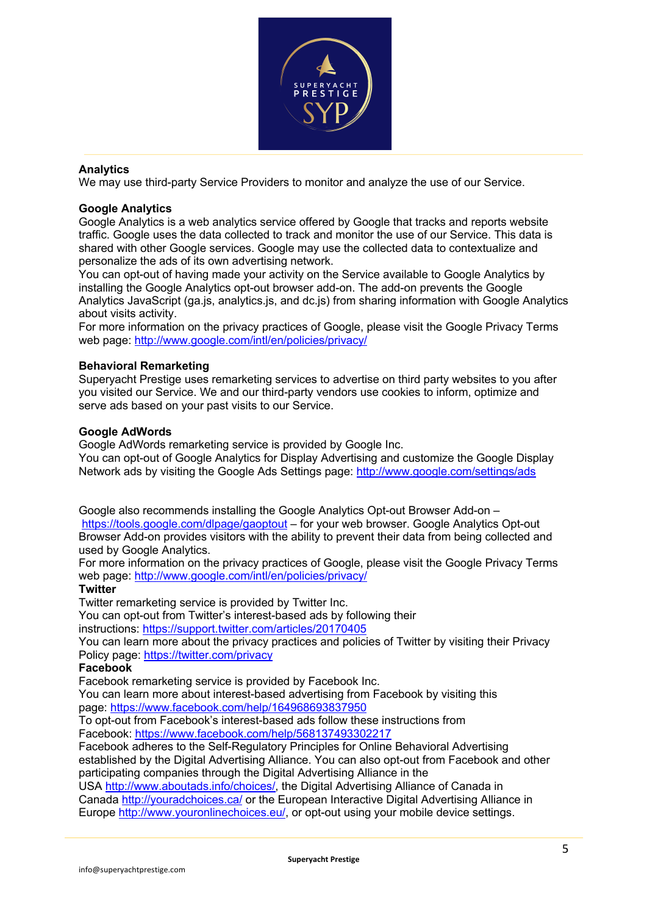

### **Analytics**

We may use third-party Service Providers to monitor and analyze the use of our Service.

#### **Google Analytics**

Google Analytics is a web analytics service offered by Google that tracks and reports website traffic. Google uses the data collected to track and monitor the use of our Service. This data is shared with other Google services. Google may use the collected data to contextualize and personalize the ads of its own advertising network.

You can opt-out of having made your activity on the Service available to Google Analytics by installing the Google Analytics opt-out browser add-on. The add-on prevents the Google Analytics JavaScript (ga.js, analytics.js, and dc.js) from sharing information with Google Analytics about visits activity.

For more information on the privacy practices of Google, please visit the Google Privacy Terms web page: http://www.google.com/intl/en/policies/privacy/

#### **Behavioral Remarketing**

Superyacht Prestige uses remarketing services to advertise on third party websites to you after you visited our Service. We and our third-party vendors use cookies to inform, optimize and serve ads based on your past visits to our Service.

#### **Google AdWords**

Google AdWords remarketing service is provided by Google Inc.

You can opt-out of Google Analytics for Display Advertising and customize the Google Display Network ads by visiting the Google Ads Settings page: http://www.google.com/settings/ads

Google also recommends installing the Google Analytics Opt-out Browser Add-on – https://tools.google.com/dlpage/gaoptout – for your web browser. Google Analytics Opt-out Browser Add-on provides visitors with the ability to prevent their data from being collected and used by Google Analytics.

For more information on the privacy practices of Google, please visit the Google Privacy Terms web page: http://www.google.com/intl/en/policies/privacy/

## **Twitter**

Twitter remarketing service is provided by Twitter Inc.

You can opt-out from Twitter's interest-based ads by following their

instructions: https://support.twitter.com/articles/20170405

You can learn more about the privacy practices and policies of Twitter by visiting their Privacy Policy page: https://twitter.com/privacy

#### **Facebook**

Facebook remarketing service is provided by Facebook Inc.

You can learn more about interest-based advertising from Facebook by visiting this page: https://www.facebook.com/help/164968693837950

To opt-out from Facebook's interest-based ads follow these instructions from Facebook: https://www.facebook.com/help/568137493302217

Facebook adheres to the Self-Regulatory Principles for Online Behavioral Advertising established by the Digital Advertising Alliance. You can also opt-out from Facebook and other participating companies through the Digital Advertising Alliance in the

USA http://www.aboutads.info/choices/, the Digital Advertising Alliance of Canada in Canada http://youradchoices.ca/ or the European Interactive Digital Advertising Alliance in Europe http://www.youronlinechoices.eu/, or opt-out using your mobile device settings.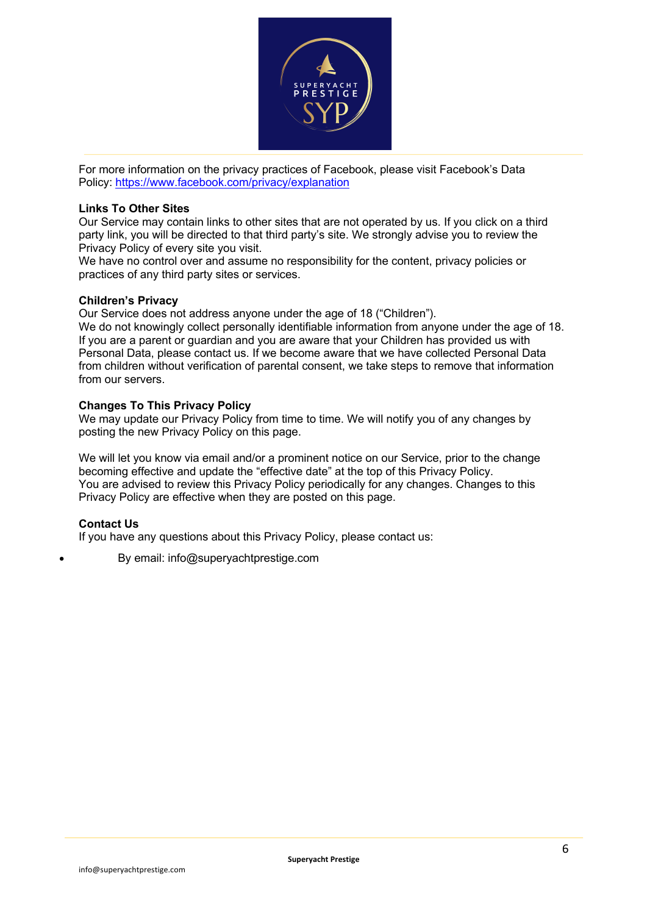

For more information on the privacy practices of Facebook, please visit Facebook's Data Policy: https://www.facebook.com/privacy/explanation

### **Links To Other Sites**

Our Service may contain links to other sites that are not operated by us. If you click on a third party link, you will be directed to that third party's site. We strongly advise you to review the Privacy Policy of every site you visit.

We have no control over and assume no responsibility for the content, privacy policies or practices of any third party sites or services.

#### **Children's Privacy**

Our Service does not address anyone under the age of 18 ("Children").

We do not knowingly collect personally identifiable information from anyone under the age of 18. If you are a parent or guardian and you are aware that your Children has provided us with Personal Data, please contact us. If we become aware that we have collected Personal Data from children without verification of parental consent, we take steps to remove that information from our servers.

#### **Changes To This Privacy Policy**

We may update our Privacy Policy from time to time. We will notify you of any changes by posting the new Privacy Policy on this page.

We will let you know via email and/or a prominent notice on our Service, prior to the change becoming effective and update the "effective date" at the top of this Privacy Policy. You are advised to review this Privacy Policy periodically for any changes. Changes to this Privacy Policy are effective when they are posted on this page.

## **Contact Us**

If you have any questions about this Privacy Policy, please contact us:

• By email: info@superyachtprestige.com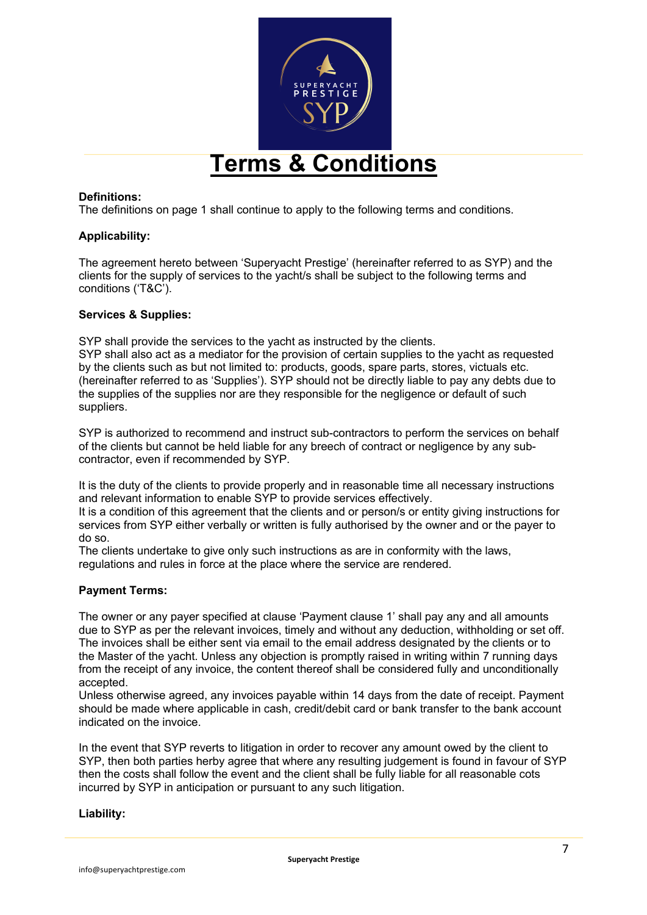

## **Terms & Conditions**

## **Definitions:**

The definitions on page 1 shall continue to apply to the following terms and conditions.

## **Applicability:**

The agreement hereto between 'Superyacht Prestige' (hereinafter referred to as SYP) and the clients for the supply of services to the yacht/s shall be subject to the following terms and conditions ('T&C').

#### **Services & Supplies:**

SYP shall provide the services to the yacht as instructed by the clients.

SYP shall also act as a mediator for the provision of certain supplies to the yacht as requested by the clients such as but not limited to: products, goods, spare parts, stores, victuals etc. (hereinafter referred to as 'Supplies'). SYP should not be directly liable to pay any debts due to the supplies of the supplies nor are they responsible for the negligence or default of such suppliers.

SYP is authorized to recommend and instruct sub-contractors to perform the services on behalf of the clients but cannot be held liable for any breech of contract or negligence by any subcontractor, even if recommended by SYP.

It is the duty of the clients to provide properly and in reasonable time all necessary instructions and relevant information to enable SYP to provide services effectively.

It is a condition of this agreement that the clients and or person/s or entity giving instructions for services from SYP either verbally or written is fully authorised by the owner and or the payer to do so.

The clients undertake to give only such instructions as are in conformity with the laws, regulations and rules in force at the place where the service are rendered.

#### **Payment Terms:**

The owner or any payer specified at clause 'Payment clause 1' shall pay any and all amounts due to SYP as per the relevant invoices, timely and without any deduction, withholding or set off. The invoices shall be either sent via email to the email address designated by the clients or to the Master of the yacht. Unless any objection is promptly raised in writing within 7 running days from the receipt of any invoice, the content thereof shall be considered fully and unconditionally accepted.

Unless otherwise agreed, any invoices payable within 14 days from the date of receipt. Payment should be made where applicable in cash, credit/debit card or bank transfer to the bank account indicated on the invoice.

In the event that SYP reverts to litigation in order to recover any amount owed by the client to SYP, then both parties herby agree that where any resulting judgement is found in favour of SYP then the costs shall follow the event and the client shall be fully liable for all reasonable cots incurred by SYP in anticipation or pursuant to any such litigation.

#### **Liability:**